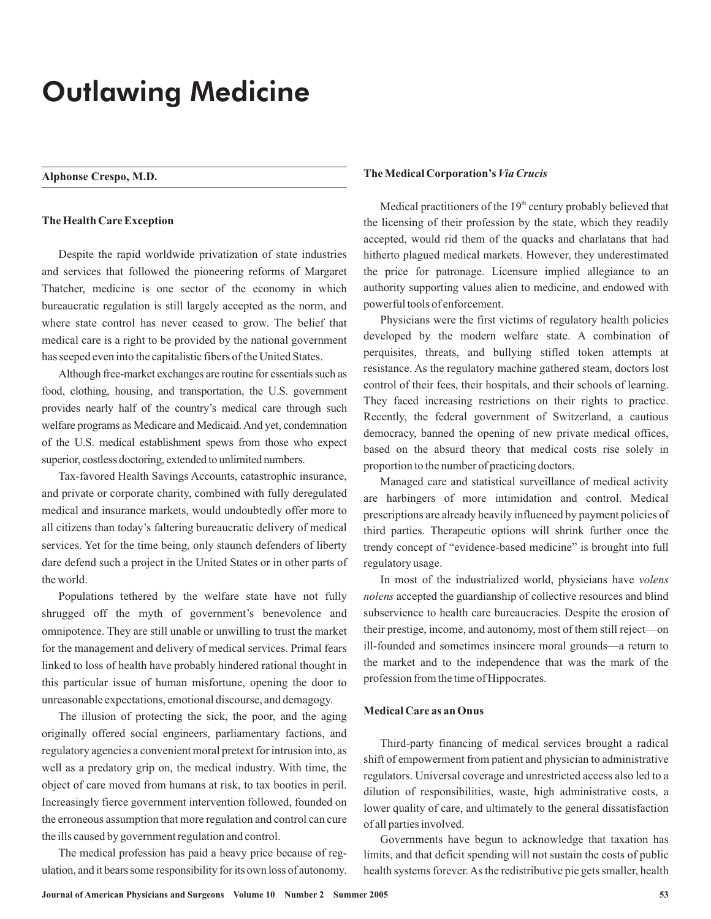# Outlawing Medicine

## **Alphonse Crespo, M.D.**

## **The Health Care Exception**

Despite the rapid worldwide privatization of state industries and services that followed the pioneering reforms of Margaret Thatcher, medicine is one sector of the economy in which bureaucratic regulation is still largely accepted as the norm, and where state control has never ceased to grow. The belief that medical care is a right to be provided by the national government has seeped even into the capitalistic fibers of the United States.

Although free-market exchanges are routine for essentials such as food, clothing, housing, and transportation, the U.S. government provides nearly half of the country's medical care through such welfare programs as Medicare and Medicaid. And yet, condemnation of the U.S. medical establishment spews from those who expect superior, costless doctoring, extended to unlimited numbers.

Tax-favored Health Savings Accounts, catastrophic insurance, and private or corporate charity, combined with fully deregulated medical and insurance markets, would undoubtedly offer more to all citizens than today's faltering bureaucratic delivery of medical services. Yet for the time being, only staunch defenders of liberty dare defend such a project in the United States or in other parts of the world.

Populations tethered by the welfare state have not fully shrugged off the myth of government's benevolence and omnipotence. They are still unable or unwilling to trust the market for the management and delivery of medical services. Primal fears linked to loss of health have probably hindered rational thought in this particular issue of human misfortune, opening the door to unreasonable expectations, emotional discourse, and demagogy.

The illusion of protecting the sick, the poor, and the aging originally offered social engineers, parliamentary factions, and regulatory agencies a convenient moral pretext for intrusion into, as well as a predatory grip on, the medical industry. With time, the object of care moved from humans at risk, to tax booties in peril. Increasingly fierce government intervention followed, founded on the erroneous assumption that more regulation and control can cure the ills caused by government regulation and control.

The medical profession has paid a heavy price because of regulation, and it bears some responsibility for its own loss of autonomy.

#### **TheMedical Corporation's** *Via Crucis*

Medical practitioners of the  $19<sup>th</sup>$  century probably believed that the licensing of their profession by the state, which they readily accepted, would rid them of the quacks and charlatans that had hitherto plagued medical markets. However, they underestimated the price for patronage. Licensure implied allegiance to an authority supporting values alien to medicine, and endowed with powerful tools of enforcement.

Physicians were the first victims of regulatory health policies developed by the modern welfare state. A combination of perquisites, threats, and bullying stifled token attempts at resistance. As the regulatory machine gathered steam, doctors lost control of their fees, their hospitals, and their schools of learning. They faced increasing restrictions on their rights to practice. Recently, the federal government of Switzerland, a cautious democracy, banned the opening of new private medical offices, based on the absurd theory that medical costs rise solely in proportion to the number of practicing doctors.

Managed care and statistical surveillance of medical activity are harbingers of more intimidation and control. Medical prescriptions are already heavily influenced by payment policies of third parties. Therapeutic options will shrink further once the trendy concept of "evidence-based medicine" is brought into full regulatory usage.

In most of the industrialized world, physicians have *volens* accepted the guardianship of collective resources and blind *nolens* subservience to health care bureaucracies. Despite the erosion of their prestige, income, and autonomy, most of them still reject—on ill-founded and sometimes insincere moral grounds—a return to the market and to the independence that was the mark of the profession from the time of Hippocrates.

#### **Medical Care as an Onus**

Third-party financing of medical services brought a radical shift of empowerment from patient and physician to administrative regulators. Universal coverage and unrestricted access also led to a dilution of responsibilities, waste, high administrative costs, a lower quality of care, and ultimately to the general dissatisfaction of all parties involved.

Governments have begun to acknowledge that taxation has limits, and that deficit spending will not sustain the costs of public health systems forever.As the redistributive pie gets smaller, health